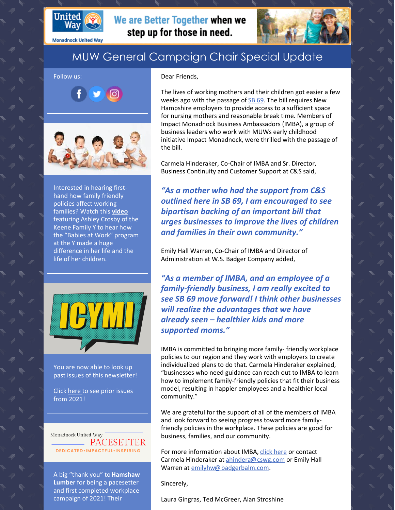

**Monadnock United Way** 

# MUW General Campaign Chair Special Update

#### Follow us:



Interested in hearing firsthand how family friendly policies affect working families? Watch this **[video](https://youtu.be/NiIppfrWV_U)** featuring Ashley Crosby of the Keene Family Y to hear how the "Babies at Work" program at the Y made a huge difference in her life and the life of her children.



You are now able to look up past issues of this newsletter!

Click [here](https://www.muw.org/2021-newsletters) to see prior issues from 2021!

Monadnock United Way **EXAMPACESETTER** DEDICATED.IMPACTFUL.INSPIRING

A big "thank you" to**Hamshaw Lumber** for being a pacesetter and first completed workplace campaign of 2021! Their

#### Dear Friends,

We are Better Together when we

step up for those in need.

The lives of working mothers and their children got easier a few weeks ago with the passage of [SB](https://read.nhbr.com/nh-business-review/2021/02/12/?fbclid=IwAR1GFPhRe9JvD7aG0PGbNOAICauzaWhL0RCSzaRe3kUWkRIWLsoYnsh_R-U#?article=3679544&dpg=1) 69. The bill requires New Hampshire employers to provide access to a sufficient space for nursing mothers and reasonable break time. Members of Impact Monadnock Business Ambassadors (IMBA), a group of business leaders who work with MUWs early childhood initiative Impact Monadnock, were thrilled with the passage of the bill.

Carmela Hinderaker, Co-Chair of IMBA and Sr. Director, Business Continuity and Customer Support at C&S said,

*"As a mother who had the support from C&S outlined here in SB 69, I am encouraged to see bipartisan backing of an important bill that urges businesses to improve the lives of children and families in their own community."*

Emily Hall Warren, Co-Chair of IMBA and Director of Administration at W.S. Badger Company added,

*"As a member of IMBA, and an employee of a family-friendly business, I am really excited to see SB 69 move forward! I think other businesses will realize the advantages that we have already seen – healthier kids and more supported moms."*

IMBA is committed to bringing more family- friendly workplace policies to our region and they work with employers to create individualized plans to do that. Carmela Hinderaker explained, "businesses who need guidance can reach out to IMBA to learn how to implement family-friendly policies that fit their business model, resulting in happier employees and a healthier local community."

We are grateful for the support of all of the members of IMBA and look forward to seeing progress toward more familyfriendly policies in the workplace. These policies are good for business, families, and our community.

For more information about IMBA, click [here](https://www.muw.org/impact/businessambassadors) or contact Carmela Hinderaker at [ahindera@cswg.com](http://ahindera@cswg.com/) or Emily Hall Warren at [emilyhw@badgerbalm.com](http://emilyhw@badgerbalm.com/).

Sincerely,

Laura Gingras, Ted McGreer, Alan Stroshine